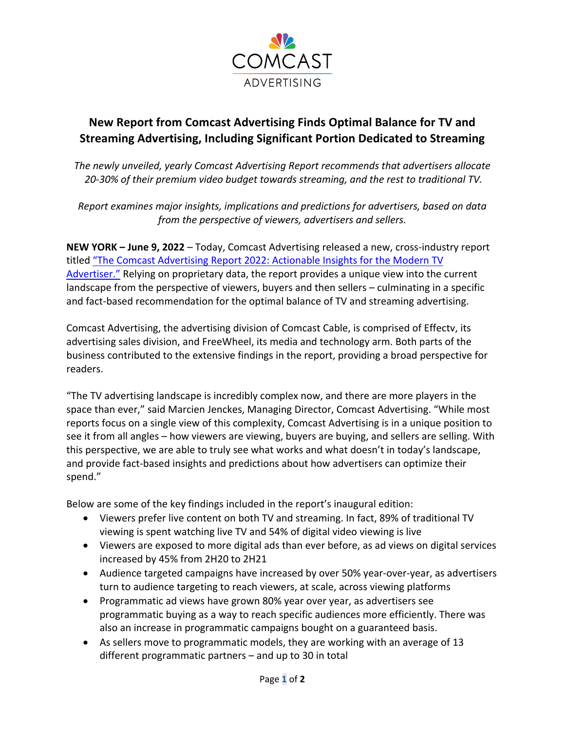

## **New Report from Comcast Advertising Finds Optimal Balance for TV and Streaming Advertising, Including Significant Portion Dedicated to Streaming**

*The newly unveiled, yearly Comcast Advertising Report recommends that advertisers allocate 20-30% of their premium video budget towards streaming, and the rest to traditional TV.*

*Report examines major insights, implications and predictions for advertisers, based on data from the perspective of viewers, advertisers and sellers.*

**NEW YORK – June 9, 2022** – Today, Comcast Advertising released a new, cross-industry report titled "The Comcast Advertising Report 2022: Actionable Insights for the Modern TV Advertiser." Relying on proprietary data, the report provides a unique view into the current landscape from the perspective of viewers, buyers and then sellers – culminating in a specific and fact-based recommendation for the optimal balance of TV and streaming advertising.

Comcast Advertising, the advertising division of Comcast Cable, is comprised of Effectv, its advertising sales division, and FreeWheel, its media and technology arm. Both parts of the business contributed to the extensive findings in the report, providing a broad perspective for readers.

"The TV advertising landscape is incredibly complex now, and there are more players in the space than ever," said Marcien Jenckes, Managing Director, Comcast Advertising. "While most reports focus on a single view of this complexity, Comcast Advertising is in a unique position to see it from all angles – how viewers are viewing, buyers are buying, and sellers are selling. With this perspective, we are able to truly see what works and what doesn't in today's landscape, and provide fact-based insights and predictions about how advertisers can optimize their spend."

Below are some of the key findings included in the report's inaugural edition:

- Viewers prefer live content on both TV and streaming. In fact, 89% of traditional TV viewing is spent watching live TV and 54% of digital video viewing is live
- Viewers are exposed to more digital ads than ever before, as ad views on digital services increased by 45% from 2H20 to 2H21
- Audience targeted campaigns have increased by over 50% year-over-year, as advertisers turn to audience targeting to reach viewers, at scale, across viewing platforms
- Programmatic ad views have grown 80% year over year, as advertisers see programmatic buying as a way to reach specific audiences more efficiently. There was also an increase in programmatic campaigns bought on a guaranteed basis.
- As sellers move to programmatic models, they are working with an average of 13 different programmatic partners – and up to 30 in total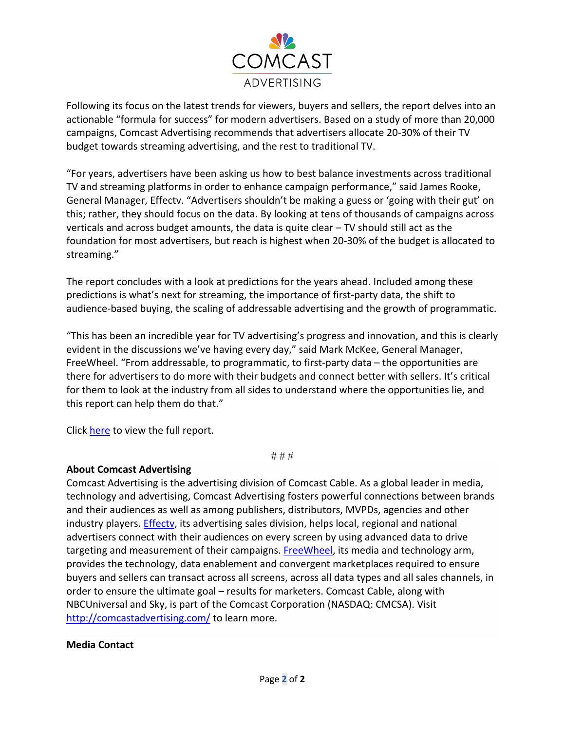

Following its focus on the latest trends for viewers, buyers and sellers, the report delves into an actionable "formula for success" for modern advertisers. Based on a study of more than 20,000 campaigns, Comcast Advertising recommends that advertisers allocate 20-30% of their TV budget towards streaming advertising, and the rest to traditional TV.

"For years, advertisers have been asking us how to best balance investments across traditional TV and streaming platforms in order to enhance campaign performance," said James Rooke, General Manager, Effectv. "Advertisers shouldn't be making a guess or 'going with their gut' on this; rather, they should focus on the data. By looking at tens of thousands of campaigns across verticals and across budget amounts, the data is quite clear – TV should still act as the foundation for most advertisers, but reach is highest when 20-30% of the budget is allocated to streaming."

The report concludes with a look at predictions for the years ahead. Included among these predictions is what's next for streaming, the importance of first-party data, the shift to audience-based buying, the scaling of addressable advertising and the growth of programmatic.

"This has been an incredible year for TV advertising's progress and innovation, and this is clearly evident in the discussions we've having every day," said Mark McKee, General Manager, FreeWheel. "From addressable, to programmatic, to first-party data – the opportunities are there for advertisers to do more with their budgets and connect better with sellers. It's critical for them to look at the industry from all sides to understand where the opportunities lie, and this report can help them do that."

Click here to view the full report.

# # #

## **About Comcast Advertising**

Comcast Advertising is the advertising division of Comcast Cable. As a global leader in media, technology and advertising, Comcast Advertising fosters powerful connections between brands and their audiences as well as among publishers, distributors, MVPDs, agencies and other industry players. Effectv, its advertising sales division, helps local, regional and national advertisers connect with their audiences on every screen by using advanced data to drive targeting and measurement of their campaigns. FreeWheel, its media and technology arm, provides the technology, data enablement and convergent marketplaces required to ensure buyers and sellers can transact across all screens, across all data types and all sales channels, in order to ensure the ultimate goal – results for marketers. Comcast Cable, along with NBCUniversal and Sky, is part of the Comcast Corporation (NASDAQ: CMCSA). Visit http://comcastadvertising.com/ to learn more.

## **Media Contact**